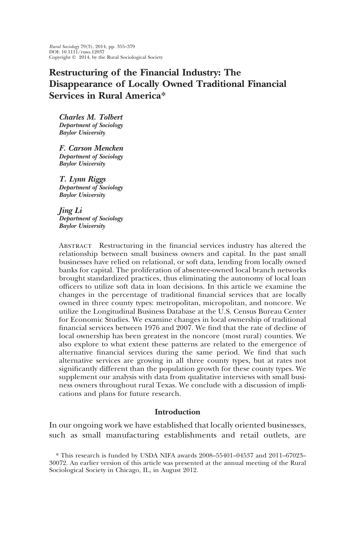*Rural Sociology* 79(3), 2014, pp. 355–379 DOI: 10.1111/ruso.12037 Copyright © 2014, by the Rural Sociological Society

# **Restructuring of the Financial Industry: The Disappearance of Locally Owned Traditional Financial Services in Rural America\***

*Charles M. Tolbert Department of Sociology Baylor University*

*F. Carson Mencken Department of Sociology Baylor University*

*T. Lynn Riggs Department of Sociology Baylor University*

*Jing Li Department of Sociology Baylor University*

Abstract Restructuring in the financial services industry has altered the relationship between small business owners and capital. In the past small businesses have relied on relational, or soft data, lending from locally owned banks for capital. The proliferation of absentee-owned local branch networks brought standardized practices, thus eliminating the autonomy of local loan officers to utilize soft data in loan decisions. In this article we examine the changes in the percentage of traditional financial services that are locally owned in three county types: metropolitan, micropolitan, and noncore. We utilize the Longitudinal Business Database at the U.S. Census Bureau Center for Economic Studies. We examine changes in local ownership of traditional financial services between 1976 and 2007. We find that the rate of decline of local ownership has been greatest in the noncore (most rural) counties. We also explore to what extent these patterns are related to the emergence of alternative financial services during the same period. We find that such alternative services are growing in all three county types, but at rates not significantly different than the population growth for these county types. We supplement our analysis with data from qualitative interviews with small business owners throughout rural Texas. We conclude with a discussion of implications and plans for future research.

### **Introduction**

In our ongoing work we have established that locally oriented businesses, such as small manufacturing establishments and retail outlets, are

<sup>\*</sup> This research is funded by USDA NIFA awards 2008–55401–04537 and 2011–67023– 30072. An earlier version of this article was presented at the annual meeting of the Rural Sociological Society in Chicago, IL, in August 2012.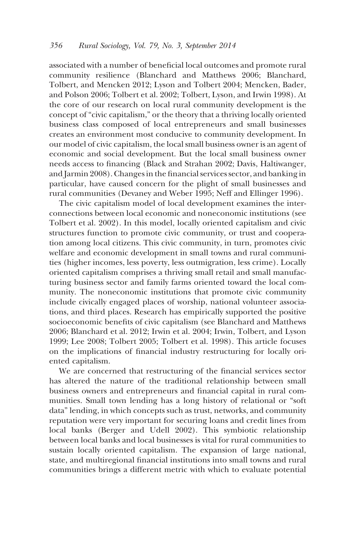associated with a number of beneficial local outcomes and promote rural community resilience (Blanchard and Matthews 2006; Blanchard, Tolbert, and Mencken 2012; Lyson and Tolbert 2004; Mencken, Bader, and Polson 2006; Tolbert et al. 2002; Tolbert, Lyson, and Irwin 1998). At the core of our research on local rural community development is the concept of "civic capitalism," or the theory that a thriving locally oriented business class composed of local entrepreneurs and small businesses creates an environment most conducive to community development. In our model of civic capitalism, the local small business owner is an agent of economic and social development. But the local small business owner needs access to financing (Black and Strahan 2002; Davis, Haltiwanger, and Jarmin 2008). Changes in the financial services sector, and banking in particular, have caused concern for the plight of small businesses and rural communities (Devaney and Weber 1995; Neff and Ellinger 1996).

The civic capitalism model of local development examines the interconnections between local economic and noneconomic institutions (see Tolbert et al. 2002). In this model, locally oriented capitalism and civic structures function to promote civic community, or trust and cooperation among local citizens. This civic community, in turn, promotes civic welfare and economic development in small towns and rural communities (higher incomes, less poverty, less outmigration, less crime). Locally oriented capitalism comprises a thriving small retail and small manufacturing business sector and family farms oriented toward the local community. The noneconomic institutions that promote civic community include civically engaged places of worship, national volunteer associations, and third places. Research has empirically supported the positive socioeconomic benefits of civic capitalism (see Blanchard and Matthews 2006; Blanchard et al. 2012; Irwin et al. 2004; Irwin, Tolbert, and Lyson 1999; Lee 2008; Tolbert 2005; Tolbert et al. 1998). This article focuses on the implications of financial industry restructuring for locally oriented capitalism.

We are concerned that restructuring of the financial services sector has altered the nature of the traditional relationship between small business owners and entrepreneurs and financial capital in rural communities. Small town lending has a long history of relational or "soft data" lending, in which concepts such as trust, networks, and community reputation were very important for securing loans and credit lines from local banks (Berger and Udell 2002). This symbiotic relationship between local banks and local businesses is vital for rural communities to sustain locally oriented capitalism. The expansion of large national, state, and multiregional financial institutions into small towns and rural communities brings a different metric with which to evaluate potential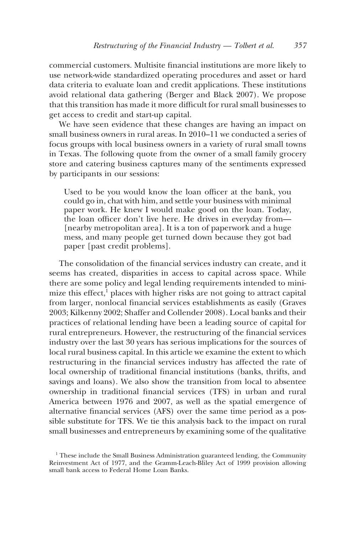commercial customers. Multisite financial institutions are more likely to use network-wide standardized operating procedures and asset or hard data criteria to evaluate loan and credit applications. These institutions avoid relational data gathering (Berger and Black 2007). We propose that this transition has made it more difficult for rural small businesses to get access to credit and start-up capital.

We have seen evidence that these changes are having an impact on small business owners in rural areas. In 2010–11 we conducted a series of focus groups with local business owners in a variety of rural small towns in Texas. The following quote from the owner of a small family grocery store and catering business captures many of the sentiments expressed by participants in our sessions:

Used to be you would know the loan officer at the bank, you could go in, chat with him, and settle your business with minimal paper work. He knew I would make good on the loan. Today, the loan officer don't live here. He drives in everyday from— [nearby metropolitan area]. It is a ton of paperwork and a huge mess, and many people get turned down because they got bad paper [past credit problems].

The consolidation of the financial services industry can create, and it seems has created, disparities in access to capital across space. While there are some policy and legal lending requirements intended to minimize this effect, $<sup>1</sup>$  places with higher risks are not going to attract capital</sup> from larger, nonlocal financial services establishments as easily (Graves 2003; Kilkenny 2002; Shaffer and Collender 2008). Local banks and their practices of relational lending have been a leading source of capital for rural entrepreneurs. However, the restructuring of the financial services industry over the last 30 years has serious implications for the sources of local rural business capital. In this article we examine the extent to which restructuring in the financial services industry has affected the rate of local ownership of traditional financial institutions (banks, thrifts, and savings and loans). We also show the transition from local to absentee ownership in traditional financial services (TFS) in urban and rural America between 1976 and 2007, as well as the spatial emergence of alternative financial services (AFS) over the same time period as a possible substitute for TFS. We tie this analysis back to the impact on rural small businesses and entrepreneurs by examining some of the qualitative

 $<sup>1</sup>$  These include the Small Business Administration guaranteed lending, the Community</sup> Reinvestment Act of 1977, and the Gramm-Leach-Bliley Act of 1999 provision allowing small bank access to Federal Home Loan Banks.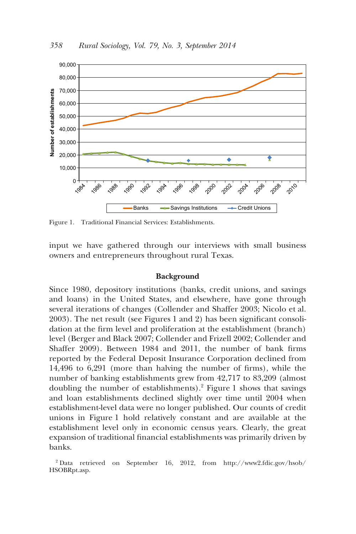

Figure 1. Traditional Financial Services: Establishments.

input we have gathered through our interviews with small business owners and entrepreneurs throughout rural Texas.

### **Background**

Since 1980, depository institutions (banks, credit unions, and savings and loans) in the United States, and elsewhere, have gone through several iterations of changes (Collender and Shaffer 2003; Nicolo et al. 2003). The net result (see Figures 1 and 2) has been significant consolidation at the firm level and proliferation at the establishment (branch) level (Berger and Black 2007; Collender and Frizell 2002; Collender and Shaffer 2009). Between 1984 and 2011, the number of bank firms reported by the Federal Deposit Insurance Corporation declined from 14,496 to 6,291 (more than halving the number of firms), while the number of banking establishments grew from 42,717 to 83,209 (almost doubling the number of establishments).2 Figure 1 shows that savings and loan establishments declined slightly over time until 2004 when establishment-level data were no longer published. Our counts of credit unions in Figure 1 hold relatively constant and are available at the establishment level only in economic census years. Clearly, the great expansion of traditional financial establishments was primarily driven by banks.

<sup>2</sup> Data retrieved on September 16, 2012, from http://www2.fdic.gov/hsob/ HSOBRpt.asp.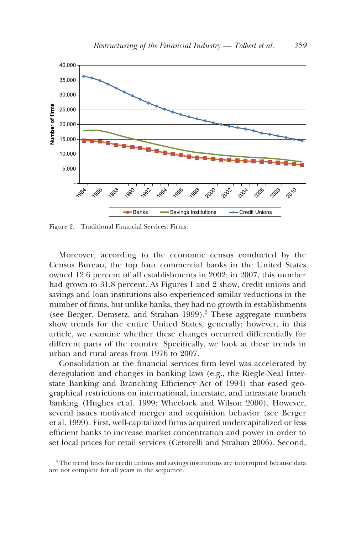

Figure 2. Traditional Financial Services: Firms.

Moreover, according to the economic census conducted by the Census Bureau, the top four commercial banks in the United States owned 12.6 percent of all establishments in 2002; in 2007, this number had grown to 31.8 percent. As Figures 1 and 2 show, credit unions and savings and loan institutions also experienced similar reductions in the number of firms, but unlike banks, they had no growth in establishments (see Berger, Demsetz, and Strahan 1999).<sup>3</sup> These aggregate numbers show trends for the entire United States, generally; however, in this article, we examine whether these changes occurred differentially for different parts of the country. Specifically, we look at these trends in urban and rural areas from 1976 to 2007.

Consolidation at the financial services firm level was accelerated by deregulation and changes in banking laws (e.g., the Riegle-Neal Interstate Banking and Branching Efficiency Act of 1994) that eased geographical restrictions on international, interstate, and intrastate branch banking (Hughes et al. 1999; Wheelock and Wilson 2000). However, several issues motivated merger and acquisition behavior (see Berger et al. 1999). First, well-capitalized firms acquired undercapitalized or less efficient banks to increase market concentration and power in order to set local prices for retail services (Cetorelli and Strahan 2006). Second,

 $3$  The trend lines for credit unions and savings institutions are interrupted because data are not complete for all years in the sequence.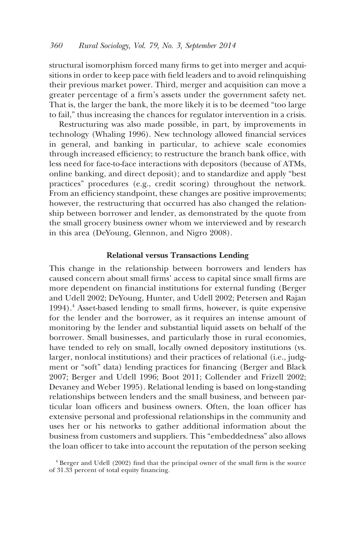structural isomorphism forced many firms to get into merger and acquisitions in order to keep pace with field leaders and to avoid relinquishing their previous market power. Third, merger and acquisition can move a greater percentage of a firm's assets under the government safety net. That is, the larger the bank, the more likely it is to be deemed "too large to fail," thus increasing the chances for regulator intervention in a crisis.

Restructuring was also made possible, in part, by improvements in technology (Whaling 1996). New technology allowed financial services in general, and banking in particular, to achieve scale economies through increased efficiency; to restructure the branch bank office, with less need for face-to-face interactions with depositors (because of ATMs, online banking, and direct deposit); and to standardize and apply "best practices" procedures (e.g., credit scoring) throughout the network. From an efficiency standpoint, these changes are positive improvements; however, the restructuring that occurred has also changed the relationship between borrower and lender, as demonstrated by the quote from the small grocery business owner whom we interviewed and by research in this area (DeYoung, Glennon, and Nigro 2008).

### **Relational versus Transactions Lending**

This change in the relationship between borrowers and lenders has caused concern about small firms' access to capital since small firms are more dependent on financial institutions for external funding (Berger and Udell 2002; DeYoung, Hunter, and Udell 2002; Petersen and Rajan 1994).4 Asset-based lending to small firms, however, is quite expensive for the lender and the borrower, as it requires an intense amount of monitoring by the lender and substantial liquid assets on behalf of the borrower. Small businesses, and particularly those in rural economies, have tended to rely on small, locally owned depository institutions (vs. larger, nonlocal institutions) and their practices of relational (i.e., judgment or "soft" data) lending practices for financing (Berger and Black 2007; Berger and Udell 1996; Boot 2011; Collender and Frizell 2002; Devaney and Weber 1995). Relational lending is based on long-standing relationships between lenders and the small business, and between particular loan officers and business owners. Often, the loan officer has extensive personal and professional relationships in the community and uses her or his networks to gather additional information about the business from customers and suppliers. This "embeddedness" also allows the loan officer to take into account the reputation of the person seeking

<sup>4</sup> Berger and Udell (2002) find that the principal owner of the small firm is the source of 31.33 percent of total equity financing.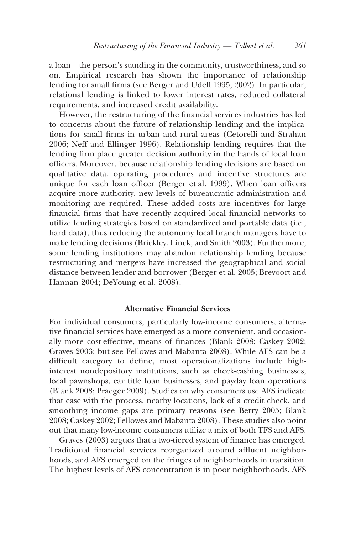a loan—the person's standing in the community, trustworthiness, and so on. Empirical research has shown the importance of relationship lending for small firms (see Berger and Udell 1995, 2002). In particular, relational lending is linked to lower interest rates, reduced collateral requirements, and increased credit availability.

However, the restructuring of the financial services industries has led to concerns about the future of relationship lending and the implications for small firms in urban and rural areas (Cetorelli and Strahan 2006; Neff and Ellinger 1996). Relationship lending requires that the lending firm place greater decision authority in the hands of local loan officers. Moreover, because relationship lending decisions are based on qualitative data, operating procedures and incentive structures are unique for each loan officer (Berger et al. 1999). When loan officers acquire more authority, new levels of bureaucratic administration and monitoring are required. These added costs are incentives for large financial firms that have recently acquired local financial networks to utilize lending strategies based on standardized and portable data (i.e., hard data), thus reducing the autonomy local branch managers have to make lending decisions (Brickley, Linck, and Smith 2003). Furthermore, some lending institutions may abandon relationship lending because restructuring and mergers have increased the geographical and social distance between lender and borrower (Berger et al. 2005; Brevoort and Hannan 2004; DeYoung et al. 2008).

# **Alternative Financial Services**

For individual consumers, particularly low-income consumers, alternative financial services have emerged as a more convenient, and occasionally more cost-effective, means of finances (Blank 2008; Caskey 2002; Graves 2003; but see Fellowes and Mabanta 2008). While AFS can be a difficult category to define, most operationalizations include highinterest nondepository institutions, such as check-cashing businesses, local pawnshops, car title loan businesses, and payday loan operations (Blank 2008; Praeger 2009). Studies on why consumers use AFS indicate that ease with the process, nearby locations, lack of a credit check, and smoothing income gaps are primary reasons (see Berry 2005; Blank 2008; Caskey 2002; Fellowes and Mabanta 2008). These studies also point out that many low-income consumers utilize a mix of both TFS and AFS.

Graves (2003) argues that a two-tiered system of finance has emerged. Traditional financial services reorganized around affluent neighborhoods, and AFS emerged on the fringes of neighborhoods in transition. The highest levels of AFS concentration is in poor neighborhoods. AFS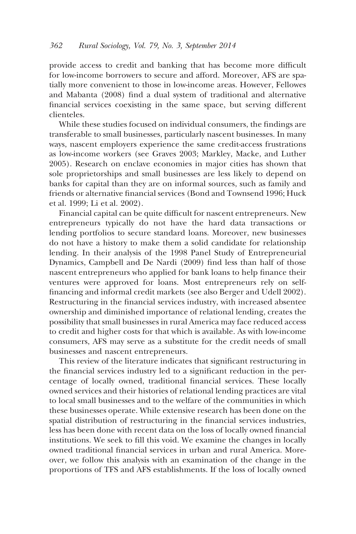provide access to credit and banking that has become more difficult for low-income borrowers to secure and afford. Moreover, AFS are spatially more convenient to those in low-income areas. However, Fellowes and Mabanta (2008) find a dual system of traditional and alternative financial services coexisting in the same space, but serving different clienteles.

While these studies focused on individual consumers, the findings are transferable to small businesses, particularly nascent businesses. In many ways, nascent employers experience the same credit-access frustrations as low-income workers (see Graves 2003; Markley, Macke, and Luther 2005). Research on enclave economies in major cities has shown that sole proprietorships and small businesses are less likely to depend on banks for capital than they are on informal sources, such as family and friends or alternative financial services (Bond and Townsend 1996; Huck et al. 1999; Li et al. 2002).

Financial capital can be quite difficult for nascent entrepreneurs. New entrepreneurs typically do not have the hard data transactions or lending portfolios to secure standard loans. Moreover, new businesses do not have a history to make them a solid candidate for relationship lending. In their analysis of the 1998 Panel Study of Entrepreneurial Dynamics, Campbell and De Nardi (2009) find less than half of those nascent entrepreneurs who applied for bank loans to help finance their ventures were approved for loans. Most entrepreneurs rely on selffinancing and informal credit markets (see also Berger and Udell 2002). Restructuring in the financial services industry, with increased absentee ownership and diminished importance of relational lending, creates the possibility that small businesses in rural America may face reduced access to credit and higher costs for that which is available. As with low-income consumers, AFS may serve as a substitute for the credit needs of small businesses and nascent entrepreneurs.

This review of the literature indicates that significant restructuring in the financial services industry led to a significant reduction in the percentage of locally owned, traditional financial services. These locally owned services and their histories of relational lending practices are vital to local small businesses and to the welfare of the communities in which these businesses operate. While extensive research has been done on the spatial distribution of restructuring in the financial services industries, less has been done with recent data on the loss of locally owned financial institutions. We seek to fill this void. We examine the changes in locally owned traditional financial services in urban and rural America. Moreover, we follow this analysis with an examination of the change in the proportions of TFS and AFS establishments. If the loss of locally owned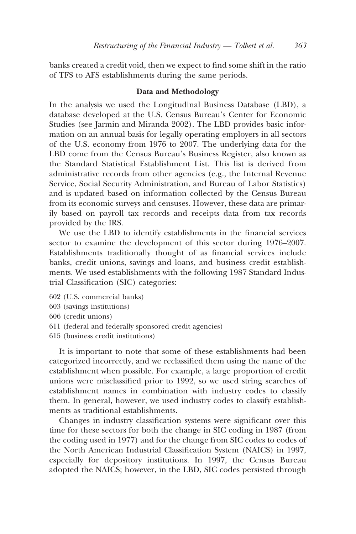banks created a credit void, then we expect to find some shift in the ratio of TFS to AFS establishments during the same periods.

# **Data and Methodology**

In the analysis we used the Longitudinal Business Database (LBD), a database developed at the U.S. Census Bureau's Center for Economic Studies (see Jarmin and Miranda 2002). The LBD provides basic information on an annual basis for legally operating employers in all sectors of the U.S. economy from 1976 to 2007. The underlying data for the LBD come from the Census Bureau's Business Register, also known as the Standard Statistical Establishment List. This list is derived from administrative records from other agencies (e.g., the Internal Revenue Service, Social Security Administration, and Bureau of Labor Statistics) and is updated based on information collected by the Census Bureau from its economic surveys and censuses. However, these data are primarily based on payroll tax records and receipts data from tax records provided by the IRS.

We use the LBD to identify establishments in the financial services sector to examine the development of this sector during 1976–2007. Establishments traditionally thought of as financial services include banks, credit unions, savings and loans, and business credit establishments. We used establishments with the following 1987 Standard Industrial Classification (SIC) categories:

- 602 (U.S. commercial banks)
- 603 (savings institutions)
- 606 (credit unions)
- 611 (federal and federally sponsored credit agencies)
- 615 (business credit institutions)

It is important to note that some of these establishments had been categorized incorrectly, and we reclassified them using the name of the establishment when possible. For example, a large proportion of credit unions were misclassified prior to 1992, so we used string searches of establishment names in combination with industry codes to classify them. In general, however, we used industry codes to classify establishments as traditional establishments.

Changes in industry classification systems were significant over this time for these sectors for both the change in SIC coding in 1987 (from the coding used in 1977) and for the change from SIC codes to codes of the North American Industrial Classification System (NAICS) in 1997, especially for depository institutions. In 1997, the Census Bureau adopted the NAICS; however, in the LBD, SIC codes persisted through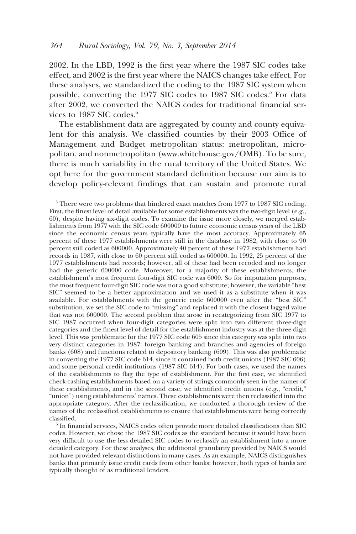2002. In the LBD, 1992 is the first year where the 1987 SIC codes take effect, and 2002 is the first year where the NAICS changes take effect. For these analyses, we standardized the coding to the 1987 SIC system when possible, converting the 1977 SIC codes to 1987 SIC codes.<sup>5</sup> For data after 2002, we converted the NAICS codes for traditional financial services to 1987 SIC codes. $6$ 

The establishment data are aggregated by county and county equivalent for this analysis. We classified counties by their 2003 Office of Management and Budget metropolitan status: metropolitan, micropolitan, and nonmetropolitan (www.whitehouse.gov/OMB). To be sure, there is much variability in the rural territory of the United States. We opt here for the government standard definition because our aim is to develop policy-relevant findings that can sustain and promote rural

 $5$  There were two problems that hindered exact matches from 1977 to 1987 SIC coding. First, the finest level of detail available for some establishments was the two-digit level (e.g., 60), despite having six-digit codes. To examine the issue more closely, we merged establishments from 1977 with the SIC code 600000 to future economic census years of the LBD since the economic census years typically have the most accuracy. Approximately 65 percent of these 1977 establishments were still in the database in 1982, with close to 90 percent still coded as 600000. Approximately 40 percent of these 1977 establishments had records in 1987, with close to 60 percent still coded as 600000. In 1992, 25 percent of the 1977 establishments had records; however, all of these had been recoded and no longer had the generic 600000 code. Moreover, for a majority of these establishments, the establishment's most frequent four-digit SIC code was 6000. So for imputation purposes, the most frequent four-digit SIC code was not a good substitute; however, the variable "best SIC" seemed to be a better approximation and we used it as a substitute when it was available. For establishments with the generic code 600000 even after the "best SIC" substitution, we set the SIC code to "missing" and replaced it with the closest lagged value that was not 600000. The second problem that arose in recategorizing from SIC 1977 to SIC 1987 occurred when four-digit categories were split into two different three-digit categories and the finest level of detail for the establishment industry was at the three-digit level. This was problematic for the 1977 SIC code 605 since this category was split into two very distinct categories in 1987: foreign banking and branches and agencies of foreign banks (608) and functions related to depository banking (609). This was also problematic in converting the 1977 SIC code 614, since it contained both credit unions (1987 SIC 606) and some personal credit institutions (1987 SIC 614). For both cases, we used the names of the establishments to flag the type of establishment. For the first case, we identified check-cashing establishments based on a variety of strings commonly seen in the names of these establishments, and in the second case, we identified credit unions (e.g., "credit," "union") using establishments' names. These establishments were then reclassified into the appropriate category. After the reclassification, we conducted a thorough review of the names of the reclassified establishments to ensure that establishments were being correctly classified.

<sup>6</sup> In financial services, NAICS codes often provide more detailed classifications than SIC codes. However, we chose the 1987 SIC codes as the standard because it would have been very difficult to use the less detailed SIC codes to reclassify an establishment into a more detailed category. For these analyses, the additional granularity provided by NAICS would not have provided relevant distinctions in many cases. As an example, NAICS distinguishes banks that primarily issue credit cards from other banks; however, both types of banks are typically thought of as traditional lenders.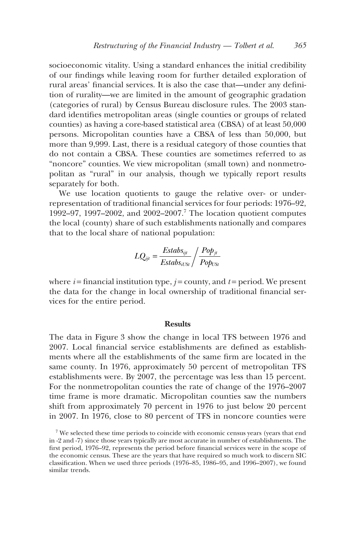socioeconomic vitality. Using a standard enhances the initial credibility of our findings while leaving room for further detailed exploration of rural areas' financial services. It is also the case that—under any definition of rurality—we are limited in the amount of geographic gradation (categories of rural) by Census Bureau disclosure rules. The 2003 standard identifies metropolitan areas (single counties or groups of related counties) as having a core-based statistical area (CBSA) of at least 50,000 persons. Micropolitan counties have a CBSA of less than 50,000, but more than 9,999. Last, there is a residual category of those counties that do not contain a CBSA. These counties are sometimes referred to as "noncore" counties. We view micropolitan (small town) and nonmetropolitan as "rural" in our analysis, though we typically report results separately for both.

We use location quotients to gauge the relative over- or underrepresentation of traditional financial services for four periods: 1976–92, 1992–97, 1997–2002, and 2002–2007.7 The location quotient computes the local (county) share of such establishments nationally and compares that to the local share of national population:

$$
LQ_{ijt} = \frac{Estabs_{ijt}}{Estabs_{iUSt}} / \frac{Pop_{jt}}{Pop_{USt}}
$$

where  $i =$  financial institution type,  $j =$  county, and  $t =$  period. We present the data for the change in local ownership of traditional financial services for the entire period.

#### **Results**

The data in Figure 3 show the change in local TFS between 1976 and 2007. Local financial service establishments are defined as establishments where all the establishments of the same firm are located in the same county. In 1976, approximately 50 percent of metropolitan TFS establishments were. By 2007, the percentage was less than 15 percent. For the nonmetropolitan counties the rate of change of the 1976–2007 time frame is more dramatic. Micropolitan counties saw the numbers shift from approximately 70 percent in 1976 to just below 20 percent in 2007. In 1976, close to 80 percent of TFS in noncore counties were

<sup>7</sup> We selected these time periods to coincide with economic census years (years that end in -2 and -7) since those years typically are most accurate in number of establishments. The first period, 1976–92, represents the period before financial services were in the scope of the economic census. These are the years that have required so much work to discern SIC classification. When we used three periods (1976–85, 1986–95, and 1996–2007), we found similar trends.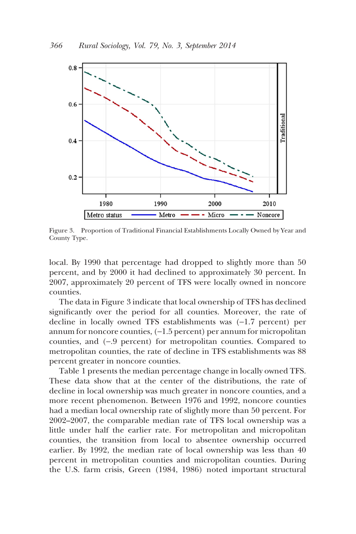

Figure 3. Proportion of Traditional Financial Establishments Locally Owned by Year and County Type.

local. By 1990 that percentage had dropped to slightly more than 50 percent, and by 2000 it had declined to approximately 30 percent. In 2007, approximately 20 percent of TFS were locally owned in noncore counties.

The data in Figure 3 indicate that local ownership of TFS has declined significantly over the period for all counties. Moreover, the rate of decline in locally owned TFS establishments was (−1.7 percent) per annum for noncore counties, (−1.5 percent) per annum for micropolitan counties, and (−.9 percent) for metropolitan counties. Compared to metropolitan counties, the rate of decline in TFS establishments was 88 percent greater in noncore counties.

Table 1 presents the median percentage change in locally owned TFS. These data show that at the center of the distributions, the rate of decline in local ownership was much greater in noncore counties, and a more recent phenomenon. Between 1976 and 1992, noncore counties had a median local ownership rate of slightly more than 50 percent. For 2002–2007, the comparable median rate of TFS local ownership was a little under half the earlier rate. For metropolitan and micropolitan counties, the transition from local to absentee ownership occurred earlier. By 1992, the median rate of local ownership was less than 40 percent in metropolitan counties and micropolitan counties. During the U.S. farm crisis, Green (1984, 1986) noted important structural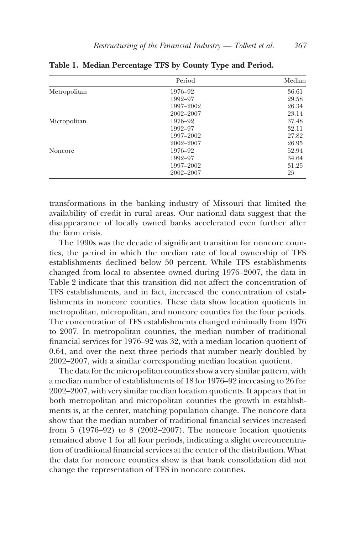|              | Period    | Median |
|--------------|-----------|--------|
| Metropolitan | 1976–92   | 36.61  |
|              | 1992-97   | 29.58  |
|              | 1997-2002 | 26.34  |
|              | 2002-2007 | 23.14  |
| Micropolitan | 1976-92   | 37.48  |
|              | 1992-97   | 32.11  |
|              | 1997-2002 | 27.82  |
|              | 2002-2007 | 26.95  |
| Noncore      | 1976–92   | 52.94  |
|              | 1992-97   | 34.64  |
|              | 1997-2002 | 31.25  |
|              | 2002-2007 | 25     |

**Table 1. Median Percentage TFS by County Type and Period.**

transformations in the banking industry of Missouri that limited the availability of credit in rural areas. Our national data suggest that the disappearance of locally owned banks accelerated even further after the farm crisis.

The 1990s was the decade of significant transition for noncore counties, the period in which the median rate of local ownership of TFS establishments declined below 50 percent. While TFS establishments changed from local to absentee owned during 1976–2007, the data in Table 2 indicate that this transition did not affect the concentration of TFS establishments, and in fact, increased the concentration of establishments in noncore counties. These data show location quotients in metropolitan, micropolitan, and noncore counties for the four periods. The concentration of TFS establishments changed minimally from 1976 to 2007. In metropolitan counties, the median number of traditional financial services for 1976–92 was 32, with a median location quotient of 0.64, and over the next three periods that number nearly doubled by 2002–2007, with a similar corresponding median location quotient.

The data for the micropolitan counties show a very similar pattern, with a median number of establishments of 18 for 1976–92 increasing to 26 for 2002–2007, with very similar median location quotients. It appears that in both metropolitan and micropolitan counties the growth in establishments is, at the center, matching population change. The noncore data show that the median number of traditional financial services increased from 5 (1976–92) to 8 (2002–2007). The noncore location quotients remained above 1 for all four periods, indicating a slight overconcentration of traditional financial services at the center of the distribution. What the data for noncore counties show is that bank consolidation did not change the representation of TFS in noncore counties.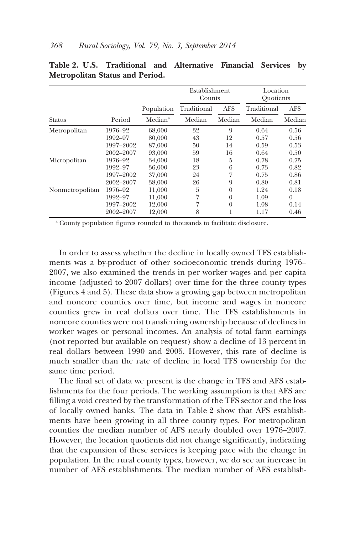|                 |           |                     | Establishment<br>Counts |            | Location<br>Ouotients |            |
|-----------------|-----------|---------------------|-------------------------|------------|-----------------------|------------|
|                 |           | Population          | Traditional             | <b>AFS</b> | Traditional           | <b>AFS</b> |
| Status          | Period    | Median <sup>a</sup> | Median                  | Median     | Median                | Median     |
| Metropolitan    | 1976–92   | 68,000              | 32                      | 9          | 0.64                  | 0.56       |
|                 | 1992-97   | 80,000              | 43                      | 12         | 0.57                  | 0.56       |
|                 | 1997-2002 | 87,000              | 50                      | 14         | 0.59                  | 0.53       |
|                 | 2002-2007 | 93,000              | 59                      | 16         | 0.64                  | 0.50       |
| Micropolitan    | 1976–92   | 34,000              | 18                      | 5          | 0.78                  | 0.75       |
|                 | 1992-97   | 36,000              | 23                      | 6          | 0.73                  | 0.82       |
|                 | 1997–2002 | 37,000              | 24                      | 7          | 0.75                  | 0.86       |
|                 | 2002-2007 | 38,000              | 26                      | 9          | 0.80                  | 0.81       |
| Nonmetropolitan | 1976-92   | 11,000              | 5                       | $\theta$   | 1.24                  | 0.18       |
|                 | 1992-97   | 11,000              | 7                       | $\theta$   | 1.09                  | $\Omega$   |
|                 | 1997-2002 | 12,000              | 7                       | $\theta$   | 1.08                  | 0.14       |
|                 | 2002-2007 | 12.000              | 8                       |            | 1.17                  | 0.46       |

|  |                                        |  | Table 2. U.S. Traditional and Alternative Financial Services by |  |  |
|--|----------------------------------------|--|-----------------------------------------------------------------|--|--|
|  | <b>Metropolitan Status and Period.</b> |  |                                                                 |  |  |

<sup>a</sup> County population figures rounded to thousands to facilitate disclosure.

In order to assess whether the decline in locally owned TFS establishments was a by-product of other socioeconomic trends during 1976– 2007, we also examined the trends in per worker wages and per capita income (adjusted to 2007 dollars) over time for the three county types (Figures 4 and 5). These data show a growing gap between metropolitan and noncore counties over time, but income and wages in noncore counties grew in real dollars over time. The TFS establishments in noncore counties were not transferring ownership because of declines in worker wages or personal incomes. An analysis of total farm earnings (not reported but available on request) show a decline of 13 percent in real dollars between 1990 and 2005. However, this rate of decline is much smaller than the rate of decline in local TFS ownership for the same time period.

The final set of data we present is the change in TFS and AFS establishments for the four periods. The working assumption is that AFS are filling a void created by the transformation of the TFS sector and the loss of locally owned banks. The data in Table 2 show that AFS establishments have been growing in all three county types. For metropolitan counties the median number of AFS nearly doubled over 1976–2007. However, the location quotients did not change significantly, indicating that the expansion of these services is keeping pace with the change in population. In the rural county types, however, we do see an increase in number of AFS establishments. The median number of AFS establish-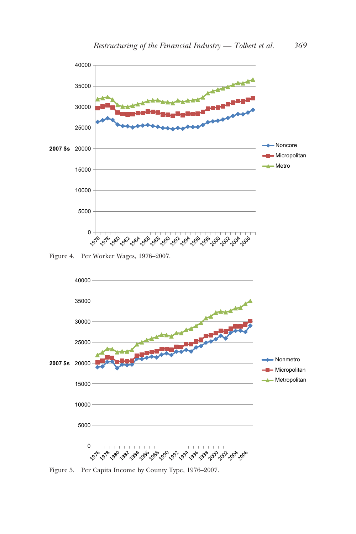

Figure 4. Per Worker Wages, 1976–2007.



Figure 5. Per Capita Income by County Type, 1976–2007.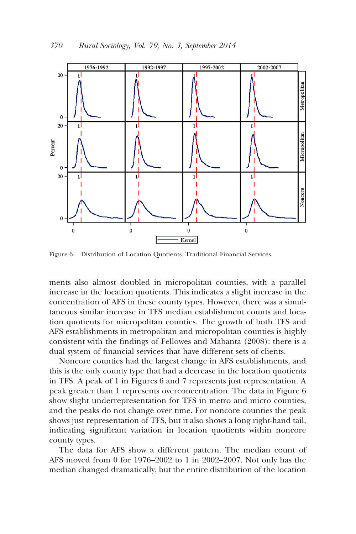

Figure 6. Distribution of Location Quotients, Traditional Financial Services.

ments also almost doubled in micropolitan counties, with a parallel increase in the location quotients. This indicates a slight increase in the concentration of AFS in these county types. However, there was a simultaneous similar increase in TFS median establishment counts and location quotients for micropolitan counties. The growth of both TFS and AFS establishments in metropolitan and micropolitan counties is highly consistent with the findings of Fellowes and Mabanta (2008): there is a dual system of financial services that have different sets of clients.

Noncore counties had the largest change in AFS establishments, and this is the only county type that had a decrease in the location quotients in TFS. A peak of 1 in Figures 6 and 7 represents just representation. A peak greater than 1 represents overconcentration. The data in Figure 6 show slight underrepresentation for TFS in metro and micro counties, and the peaks do not change over time. For noncore counties the peak shows just representation of TFS, but it also shows a long right-hand tail, indicating significant variation in location quotients within noncore county types.

The data for AFS show a different pattern. The median count of AFS moved from 0 for 1976–2002 to 1 in 2002–2007. Not only has the median changed dramatically, but the entire distribution of the location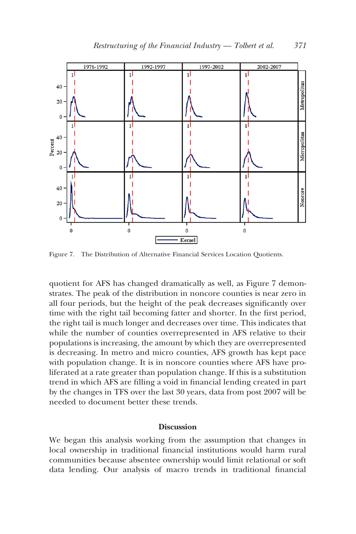

Figure 7. The Distribution of Alternative Financial Services Location Quotients.

quotient for AFS has changed dramatically as well, as Figure 7 demonstrates. The peak of the distribution in noncore counties is near zero in all four periods, but the height of the peak decreases significantly over time with the right tail becoming fatter and shorter. In the first period, the right tail is much longer and decreases over time. This indicates that while the number of counties overrepresented in AFS relative to their populations is increasing, the amount by which they are overrepresented is decreasing. In metro and micro counties, AFS growth has kept pace with population change. It is in noncore counties where AFS have proliferated at a rate greater than population change. If this is a substitution trend in which AFS are filling a void in financial lending created in part by the changes in TFS over the last 30 years, data from post 2007 will be needed to document better these trends.

# **Discussion**

We began this analysis working from the assumption that changes in local ownership in traditional financial institutions would harm rural communities because absentee ownership would limit relational or soft data lending. Our analysis of macro trends in traditional financial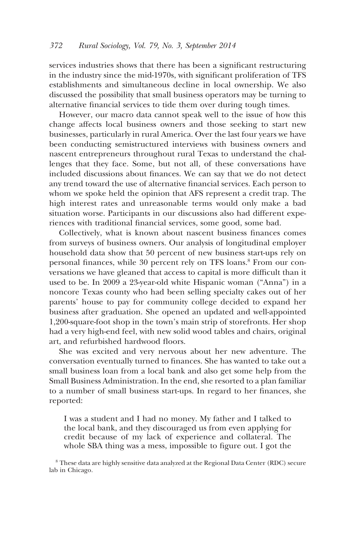services industries shows that there has been a significant restructuring in the industry since the mid-1970s, with significant proliferation of TFS establishments and simultaneous decline in local ownership. We also discussed the possibility that small business operators may be turning to alternative financial services to tide them over during tough times.

However, our macro data cannot speak well to the issue of how this change affects local business owners and those seeking to start new businesses, particularly in rural America. Over the last four years we have been conducting semistructured interviews with business owners and nascent entrepreneurs throughout rural Texas to understand the challenges that they face. Some, but not all, of these conversations have included discussions about finances. We can say that we do not detect any trend toward the use of alternative financial services. Each person to whom we spoke held the opinion that AFS represent a credit trap. The high interest rates and unreasonable terms would only make a bad situation worse. Participants in our discussions also had different experiences with traditional financial services, some good, some bad.

Collectively, what is known about nascent business finances comes from surveys of business owners. Our analysis of longitudinal employer household data show that 50 percent of new business start-ups rely on personal finances, while 30 percent rely on TFS loans.<sup>8</sup> From our conversations we have gleaned that access to capital is more difficult than it used to be. In 2009 a 23-year-old white Hispanic woman ("Anna") in a noncore Texas county who had been selling specialty cakes out of her parents' house to pay for community college decided to expand her business after graduation. She opened an updated and well-appointed 1,200-square-foot shop in the town's main strip of storefronts. Her shop had a very high-end feel, with new solid wood tables and chairs, original art, and refurbished hardwood floors.

She was excited and very nervous about her new adventure. The conversation eventually turned to finances. She has wanted to take out a small business loan from a local bank and also get some help from the Small Business Administration. In the end, she resorted to a plan familiar to a number of small business start-ups. In regard to her finances, she reported:

I was a student and I had no money. My father and I talked to the local bank, and they discouraged us from even applying for credit because of my lack of experience and collateral. The whole SBA thing was a mess, impossible to figure out. I got the

<sup>8</sup> These data are highly sensitive data analyzed at the Regional Data Center (RDC) secure lab in Chicago.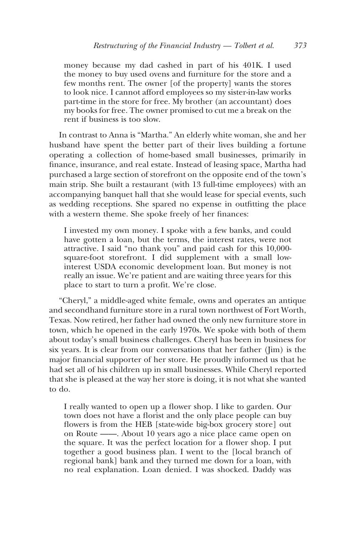money because my dad cashed in part of his 401K. I used the money to buy used ovens and furniture for the store and a few months rent. The owner [of the property] wants the stores to look nice. I cannot afford employees so my sister-in-law works part-time in the store for free. My brother (an accountant) does my books for free. The owner promised to cut me a break on the rent if business is too slow.

In contrast to Anna is "Martha." An elderly white woman, she and her husband have spent the better part of their lives building a fortune operating a collection of home-based small businesses, primarily in finance, insurance, and real estate. Instead of leasing space, Martha had purchased a large section of storefront on the opposite end of the town's main strip. She built a restaurant (with 13 full-time employees) with an accompanying banquet hall that she would lease for special events, such as wedding receptions. She spared no expense in outfitting the place with a western theme. She spoke freely of her finances:

I invested my own money. I spoke with a few banks, and could have gotten a loan, but the terms, the interest rates, were not attractive. I said "no thank you" and paid cash for this 10,000 square-foot storefront. I did supplement with a small lowinterest USDA economic development loan. But money is not really an issue. We're patient and are waiting three years for this place to start to turn a profit. We're close.

"Cheryl," a middle-aged white female, owns and operates an antique and secondhand furniture store in a rural town northwest of Fort Worth, Texas. Now retired, her father had owned the only new furniture store in town, which he opened in the early 1970s. We spoke with both of them about today's small business challenges. Cheryl has been in business for six years. It is clear from our conversations that her father (Jim) is the major financial supporter of her store. He proudly informed us that he had set all of his children up in small businesses. While Cheryl reported that she is pleased at the way her store is doing, it is not what she wanted to do.

I really wanted to open up a flower shop. I like to garden. Our town does not have a florist and the only place people can buy flowers is from the HEB [state-wide big-box grocery store] out on Route ——. About 10 years ago a nice place came open on the square. It was the perfect location for a flower shop. I put together a good business plan. I went to the [local branch of regional bank] bank and they turned me down for a loan, with no real explanation. Loan denied. I was shocked. Daddy was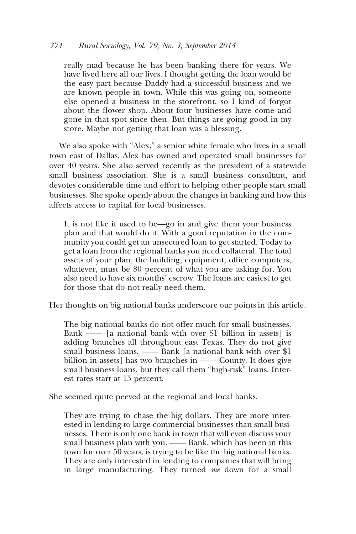## *374 Rural Sociology, Vol. 79, No. 3, September 2014*

really mad because he has been banking there for years. We have lived here all our lives. I thought getting the loan would be the easy part because Daddy had a successful business and we are known people in town. While this was going on, someone else opened a business in the storefront, so I kind of forgot about the flower shop. About four businesses have come and gone in that spot since then. But things are going good in my store. Maybe not getting that loan was a blessing.

We also spoke with "Alex," a senior white female who lives in a small town east of Dallas. Alex has owned and operated small businesses for over 40 years. She also served recently as the president of a statewide small business association. She is a small business consultant, and devotes considerable time and effort to helping other people start small businesses. She spoke openly about the changes in banking and how this affects access to capital for local businesses.

It is not like it used to be—go in and give them your business plan and that would do it. With a good reputation in the community you could get an unsecured loan to get started. Today to get a loan from the regional banks you need collateral. The total assets of your plan, the building, equipment, office computers, whatever, must be 80 percent of what you are asking for. You also need to have six months' escrow. The loans are easiest to get for those that do not really need them.

Her thoughts on big national banks underscore our points in this article.

The big national banks do not offer much for small businesses. Bank —— [a national bank with over \$1 billion in assets] is adding branches all throughout east Texas. They do not give small business loans. —— Bank [a national bank with over \$1 billion in assets] has two branches in —— County. It does give small business loans, but they call them "high-risk" loans. Interest rates start at 15 percent.

She seemed quite peeved at the regional and local banks.

They are trying to chase the big dollars. They are more interested in lending to large commercial businesses than small businesses. There is only one bank in town that will even discuss your small business plan with you. —— Bank, which has been in this town for over 50 years, is trying to be like the big national banks. They are only interested in lending to companies that will bring in large manufacturing. They turned *me* down for a small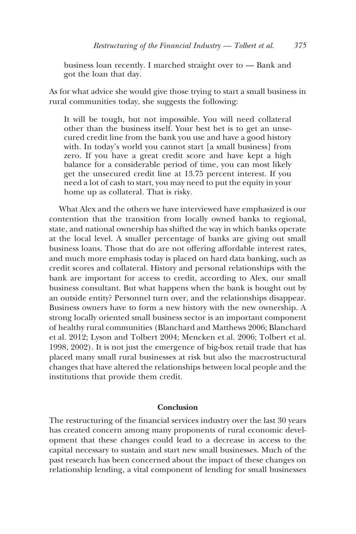business loan recently. I marched straight over to — Bank and got the loan that day.

As for what advice she would give those trying to start a small business in rural communities today, she suggests the following:

It will be tough, but not impossible. You will need collateral other than the business itself. Your best bet is to get an unsecured credit line from the bank you use and have a good history with. In today's world you cannot start [a small business] from zero. If you have a great credit score and have kept a high balance for a considerable period of time, you can most likely get the unsecured credit line at 13.75 percent interest. If you need a lot of cash to start, you may need to put the equity in your home up as collateral. That is risky.

What Alex and the others we have interviewed have emphasized is our contention that the transition from locally owned banks to regional, state, and national ownership has shifted the way in which banks operate at the local level. A smaller percentage of banks are giving out small business loans. Those that do are not offering affordable interest rates, and much more emphasis today is placed on hard data banking, such as credit scores and collateral. History and personal relationships with the bank are important for access to credit, according to Alex, our small business consultant. But what happens when the bank is bought out by an outside entity? Personnel turn over, and the relationships disappear. Business owners have to form a new history with the new ownership. A strong locally oriented small business sector is an important component of healthy rural communities (Blanchard and Matthews 2006; Blanchard et al. 2012; Lyson and Tolbert 2004; Mencken et al. 2006; Tolbert et al. 1998, 2002). It is not just the emergence of big-box retail trade that has placed many small rural businesses at risk but also the macrostructural changes that have altered the relationships between local people and the institutions that provide them credit.

# **Conclusion**

The restructuring of the financial services industry over the last 30 years has created concern among many proponents of rural economic development that these changes could lead to a decrease in access to the capital necessary to sustain and start new small businesses. Much of the past research has been concerned about the impact of these changes on relationship lending, a vital component of lending for small businesses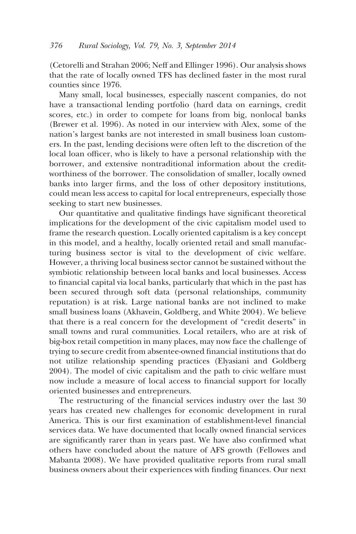(Cetorelli and Strahan 2006; Neff and Ellinger 1996). Our analysis shows that the rate of locally owned TFS has declined faster in the most rural counties since 1976.

Many small, local businesses, especially nascent companies, do not have a transactional lending portfolio (hard data on earnings, credit scores, etc.) in order to compete for loans from big, nonlocal banks (Brewer et al. 1996). As noted in our interview with Alex, some of the nation's largest banks are not interested in small business loan customers. In the past, lending decisions were often left to the discretion of the local loan officer, who is likely to have a personal relationship with the borrower, and extensive nontraditional information about the creditworthiness of the borrower. The consolidation of smaller, locally owned banks into larger firms, and the loss of other depository institutions, could mean less access to capital for local entrepreneurs, especially those seeking to start new businesses.

Our quantitative and qualitative findings have significant theoretical implications for the development of the civic capitalism model used to frame the research question. Locally oriented capitalism is a key concept in this model, and a healthy, locally oriented retail and small manufacturing business sector is vital to the development of civic welfare. However, a thriving local business sector cannot be sustained without the symbiotic relationship between local banks and local businesses. Access to financial capital via local banks, particularly that which in the past has been secured through soft data (personal relationships, community reputation) is at risk. Large national banks are not inclined to make small business loans (Akhavein, Goldberg, and White 2004). We believe that there is a real concern for the development of "credit deserts" in small towns and rural communities. Local retailers, who are at risk of big-box retail competition in many places, may now face the challenge of trying to secure credit from absentee-owned financial institutions that do not utilize relationship spending practices (Elyasiani and Goldberg 2004). The model of civic capitalism and the path to civic welfare must now include a measure of local access to financial support for locally oriented businesses and entrepreneurs.

The restructuring of the financial services industry over the last 30 years has created new challenges for economic development in rural America. This is our first examination of establishment-level financial services data. We have documented that locally owned financial services are significantly rarer than in years past. We have also confirmed what others have concluded about the nature of AFS growth (Fellowes and Mabanta 2008). We have provided qualitative reports from rural small business owners about their experiences with finding finances. Our next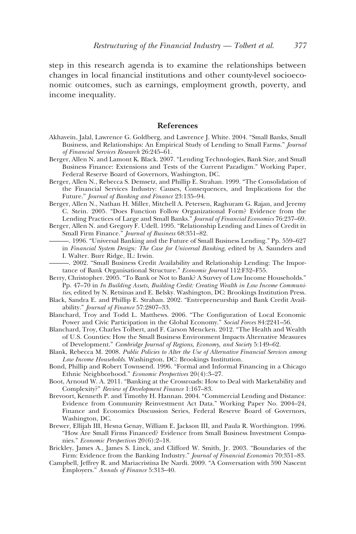step in this research agenda is to examine the relationships between changes in local financial institutions and other county-level socioeconomic outcomes, such as earnings, employment growth, poverty, and income inequality.

#### **References**

- Akhavein, Jalal, Lawrence G. Goldberg, and Lawrence J. White. 2004. "Small Banks, Small Business, and Relationships: An Empirical Study of Lending to Small Farms." *Journal of Financial Services Research* 26:245–61.
- Berger, Allen N. and Lamont K. Black. 2007. "Lending Technologies, Bank Size, and Small Business Finance: Extensions and Tests of the Current Paradigm." Working Paper, Federal Reserve Board of Governors, Washington, DC.
- Berger, Allen N., Rebecca S. Demsetz, and Phillip E. Strahan. 1999. "The Consolidation of the Financial Services Industry: Causes, Consequences, and Implications for the Future." *Journal of Banking and Finance* 23:135–94.
- Berger, Allen N., Nathan H. Miller, Mitchell A. Petersen, Raghuram G. Rajan, and Jeremy C. Stein. 2005. "Does Function Follow Organizational Form? Evidence from the Lending Practices of Large and Small Banks." *Journal of Financial Economics* 76:237–69.
- Berger, Allen N. and Gregory F. Udell. 1995. "Relationship Lending and Lines of Credit in Small Firm Finance." *Journal of Business* 68:351–82.
	- -. 1996. "Universal Banking and the Future of Small Business Lending." Pp. 559-627 in *Financial System Design: The Case for Universal Banking*, edited by A. Saunders and I. Walter. Burr Ridge, IL: Irwin.
	- ———. 2002. "Small Business Credit Availability and Relationship Lending: The Importance of Bank Organisational Structure." *Economic Journal* 112:F32–F55.
- Berry, Christopher. 2005. "To Bank or Not to Bank? A Survey of Low Income Households." Pp. 47–70 in *In Building Assets, Building Credit: Creating Wealth in Low Income Communities*, edited by N. Retsinas and E. Belsky. Washington, DC: Brookings Institution Press.
- Black, Sandra E. and Phillip E. Strahan. 2002. "Entrepreneurship and Bank Credit Availability." *Journal of Finance* 57:2807–33.
- Blanchard, Troy and Todd L. Matthews. 2006. "The Configuration of Local Economic Power and Civic Participation in the Global Economy." *Social Forces* 84:2241–56.
- Blanchard, Troy, Charles Tolbert, and F. Carson Mencken. 2012. "The Health and Wealth of U.S. Counties: How the Small Business Environment Impacts Alternative Measures of Development." *Cambridge Journal of Regions, Economy, and Society* 5:149–62.
- Blank, Rebecca M. 2008. *Public Policies to Alter the Use of Alternative Financial Services among Low Income Households*. Washington, DC: Brookings Institution.
- Bond, Phillip and Robert Townsend. 1996. "Formal and Informal Financing in a Chicago Ethnic Neighborhood." *Economic Perspectives* 20(4):3–27.
- Boot, Arnoud W. A. 2011. "Banking at the Crossroads: How to Deal with Marketability and Complexity?" *Review of Development Finance* 1:167–83.
- Brevoort, Kenneth P. and Timothy H. Hannan. 2004. "Commercial Lending and Distance: Evidence from Community Reinvestment Act Data." Working Paper No. 2004–24, Finance and Economics Discussion Series, Federal Reserve Board of Governors, Washington, DC.
- Brewer, Ellijah III, Hesna Genay, William E. Jackson III, and Paula R. Worthington. 1996. "How Are Small Firms Financed? Evidence from Small Business Investment Companies." *Economic Perspectives* 20(6):2–18.
- Brickley, James A., James S. Linck, and Clifford W. Smith, Jr. 2003. "Boundaries of the Firm: Evidence from the Banking Industry." *Journal of Financial Economics* 70:351–83.
- Campbell, Jeffrey R. and Mariacristina De Nardi. 2009. "A Conversation with 590 Nascent Employers." *Annals of Finance* 5:313–40.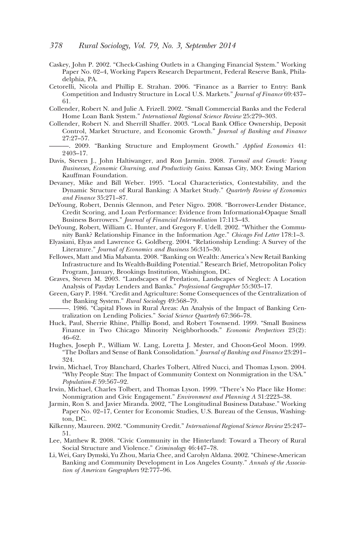- Caskey, John P. 2002. "Check-Cashing Outlets in a Changing Financial System." Working Paper No. 02–4, Working Papers Research Department, Federal Reserve Bank, Philadelphia, PA.
- Cetorelli, Nicola and Phillip E. Strahan. 2006. "Finance as a Barrier to Entry: Bank Competition and Industry Structure in Local U.S. Markets." *Journal of Finance* 69:437– 61.
- Collender, Robert N. and Julie A. Frizell. 2002. "Small Commercial Banks and the Federal Home Loan Bank System." *International Regional Science Review* 25:279–303.
- Collender, Robert N. and Sherrill Shaffer. 2003. "Local Bank Office Ownership, Deposit Control, Market Structure, and Economic Growth." *Journal of Banking and Finance* 27:27–57.
- ———. 2009. "Banking Structure and Employment Growth." *Applied Economics* 41: 2403–17.
- Davis, Steven J., John Haltiwanger, and Ron Jarmin. 2008. *Turmoil and Growth: Young Businesses, Economic Churning, and Productivity Gains.* Kansas City, MO: Ewing Marion Kauffman Foundation.
- Devaney, Mike and Bill Weber. 1995. "Local Characteristics, Contestability, and the Dynamic Structure of Rural Banking: A Market Study." *Quarterly Review of Economics and Finance* 35:271–87.
- DeYoung, Robert, Dennis Glennon, and Peter Nigro. 2008. "Borrower-Lender Distance, Credit Scoring, and Loan Performance: Evidence from Informational-Opaque Small Business Borrowers." *Journal of Financial Intermediation* 17:113–43.
- DeYoung, Robert, William C. Hunter, and Gregory F. Udell. 2002. "Whither the Community Bank? Relationship Finance in the Information Age." *Chicago Fed Letter* 178:1–3.
- Elyasiani, Elyas and Lawrence G. Goldberg. 2004. "Relationship Lending: A Survey of the Literature." *Journal of Economics and Business* 56:315–30.
- Fellowes, Matt and Mia Mabanta. 2008. "Banking on Wealth: America's New Retail Banking Infrastructure and Its Wealth-Building Potential." Research Brief, Metropolitan Policy Program, January, Brookings Institution, Washington, DC.
- Graves, Steven M. 2003. "Landscapes of Predation, Landscapes of Neglect: A Location Analysis of Payday Lenders and Banks." *Professional Geographer* 55:303–17.
- Green, Gary P. 1984. "Credit and Agriculture: Some Consequences of the Centralization of the Banking System." *Rural Sociology* 49:568–79.
- ———. 1986. "Capital Flows in Rural Areas: An Analysis of the Impact of Banking Centralization on Lending Policies." *Social Science Quarterly* 67:366–78.
- Huck, Paul, Sherrie Rhine, Phillip Bond, and Robert Townsend. 1999. "Small Business Finance in Two Chicago Minority Neighborhoods." *Economic Perspectives* 23(2): 46–62.
- Hughes, Joseph P., William W. Lang, Loretta J. Mester, and Choon-Geol Moon. 1999. "The Dollars and Sense of Bank Consolidation." *Journal of Banking and Finance* 23:291– 324.
- Irwin, Michael, Troy Blanchard, Charles Tolbert, Alfred Nucci, and Thomas Lyson. 2004. "Why People Stay: The Impact of Community Context on Nonmigration in the USA." *Population-E* 59:567–92.
- Irwin, Michael, Charles Tolbert, and Thomas Lyson. 1999. "There's No Place like Home: Nonmigration and Civic Engagement." *Environment and Planning A* 31:2223–38.
- Jarmin, Ron S. and Javier Miranda. 2002, "The Longitudinal Business Database." Working Paper No. 02–17, Center for Economic Studies, U.S. Bureau of the Census, Washington, DC.
- Kilkenny, Maureen. 2002. "Community Credit." *International Regional Science Review* 25:247– 51.
- Lee, Matthew R. 2008. "Civic Community in the Hinterland: Toward a Theory of Rural Social Structure and Violence." *Criminology* 46:447–78.
- Li, Wei, Gary Dymski, Yu Zhou, Maria Chee, and Carolyn Aldana. 2002. "Chinese-American Banking and Community Development in Los Angeles County." *Annals of the Association of American Geographers* 92:777–96.